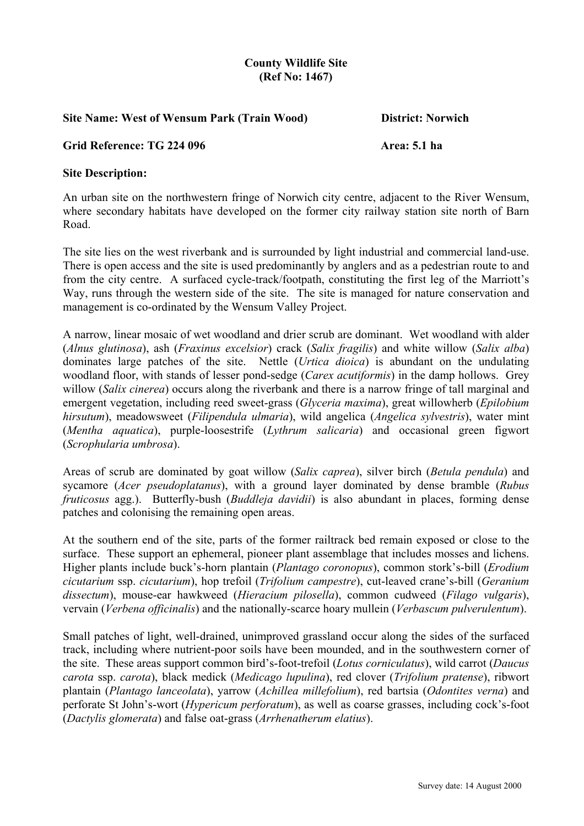## **County Wildlife Site (Ref No: 1467)**

## **Site Name: West of Wensum Park (Train Wood) District: Norwich**

## **Grid Reference: TG 224 096** Area: 5.1 ha

## **Site Description:**

An urban site on the northwestern fringe of Norwich city centre, adjacent to the River Wensum, where secondary habitats have developed on the former city railway station site north of Barn Road.

The site lies on the west riverbank and is surrounded by light industrial and commercial land-use. There is open access and the site is used predominantly by anglers and as a pedestrian route to and from the city centre. A surfaced cycle-track/footpath, constituting the first leg of the Marriott's Way, runs through the western side of the site. The site is managed for nature conservation and management is co-ordinated by the Wensum Valley Project.

A narrow, linear mosaic of wet woodland and drier scrub are dominant. Wet woodland with alder (*Alnus glutinosa*), ash (*Fraxinus excelsior*) crack (*Salix fragilis*) and white willow (*Salix alba*) dominates large patches of the site. Nettle (*Urtica dioica*) is abundant on the undulating woodland floor, with stands of lesser pond-sedge (*Carex acutiformis*) in the damp hollows. Grey willow (*Salix cinerea*) occurs along the riverbank and there is a narrow fringe of tall marginal and emergent vegetation, including reed sweet-grass (*Glyceria maxima*), great willowherb (*Epilobium hirsutum*), meadowsweet (*Filipendula ulmaria*), wild angelica (*Angelica sylvestris*), water mint (*Mentha aquatica*), purple-loosestrife (*Lythrum salicaria*) and occasional green figwort (*Scrophularia umbrosa*).

Areas of scrub are dominated by goat willow (*Salix caprea*), silver birch (*Betula pendula*) and sycamore (*Acer pseudoplatanus*), with a ground layer dominated by dense bramble (*Rubus fruticosus* agg.). Butterfly-bush (*Buddleja davidii*) is also abundant in places, forming dense patches and colonising the remaining open areas.

At the southern end of the site, parts of the former railtrack bed remain exposed or close to the surface. These support an ephemeral, pioneer plant assemblage that includes mosses and lichens. Higher plants include buck's-horn plantain (*Plantago coronopus*), common stork's-bill (*Erodium cicutarium* ssp. *cicutarium*), hop trefoil (*Trifolium campestre*), cut-leaved crane's-bill (*Geranium dissectum*), mouse-ear hawkweed (*Hieracium pilosella*), common cudweed (*Filago vulgaris*), vervain (*Verbena officinalis*) and the nationally-scarce hoary mullein (*Verbascum pulverulentum*).

Small patches of light, well-drained, unimproved grassland occur along the sides of the surfaced track, including where nutrient-poor soils have been mounded, and in the southwestern corner of the site. These areas support common bird's-foot-trefoil (*Lotus corniculatus*), wild carrot (*Daucus carota* ssp. *carota*), black medick (*Medicago lupulina*), red clover (*Trifolium pratense*), ribwort plantain (*Plantago lanceolata*), yarrow (*Achillea millefolium*), red bartsia (*Odontites verna*) and perforate St John's-wort (*Hypericum perforatum*), as well as coarse grasses, including cock's-foot (*Dactylis glomerata*) and false oat-grass (*Arrhenatherum elatius*).